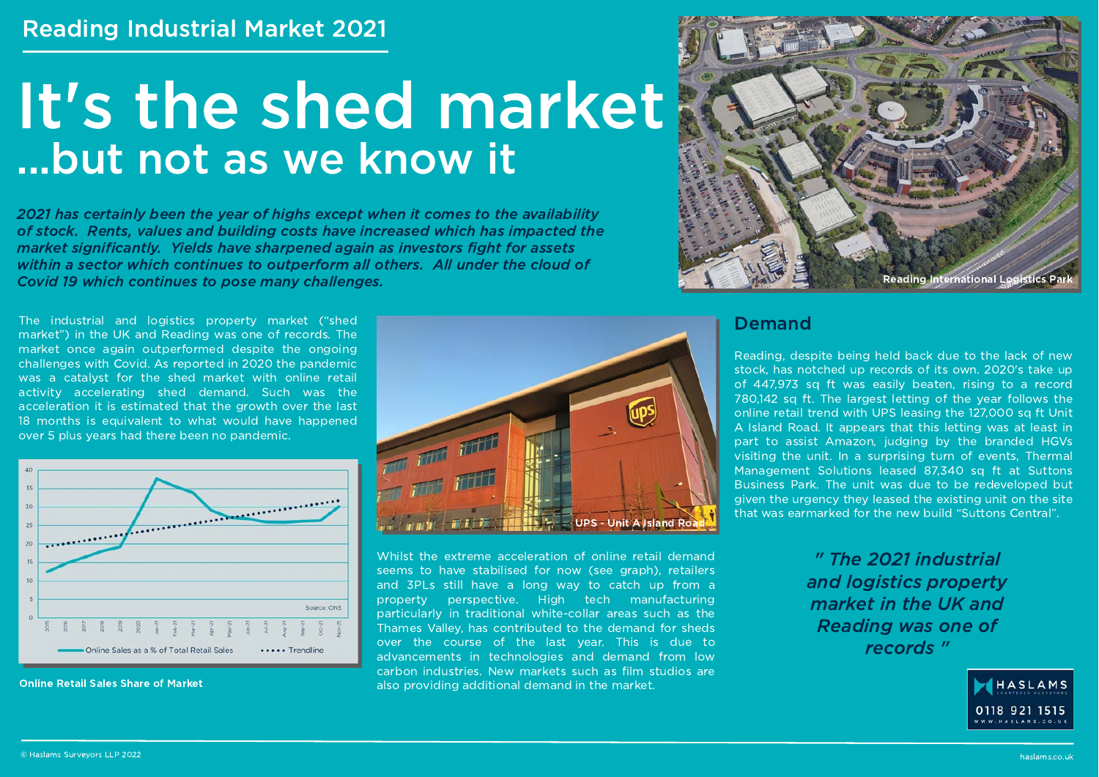# It's the shed market ...but not as we know it

2021 has certainly been the year of highs except when it comes to the availability of stock. Rents, values and building costs have increased which has impacted the market significantly. Yields have sharpened again as investors fight for assets within a sector which continues to outperform all others. All under the cloud of Covid 19 which continues to pose many challenges.

The industrial and logistics property market ("shed market") in the UK and Reading was one of records. The market once again outperformed despite the ongoing challenges with Covid. As reported in 2020 the pandemic was a catalyst for the shed market with online retail activity accelerating shed demand. Such was the acceleration it is estimated that the growth over the last 18 months is equivalent to what would have happened over 5 plus years had there been no pandemic.



**Online Retail Sales Share of Market** 



Whilst the extreme acceleration of online retail demand seems to have stabilised for now (see graph), retailers and 3PLs still have a long way to catch up from a property perspective. High tech manufacturing particularly in traditional white-collar areas such as the Thames Valley, has contributed to the demand for sheds over the course of the last year. This is due to advancements in technologies and demand from low carbon industries. New markets such as film studios are also providing additional demand in the market.



#### **Demand**

Reading, despite being held back due to the lack of new stock, has notched up records of its own. 2020's take up of 447,973 sq ft was easily beaten, rising to a record 780.142 sq ft. The largest letting of the year follows the online retail trend with UPS leasing the 127,000 sq ft Unit A Island Road. It appears that this letting was at least in part to assist Amazon, judging by the branded HGVs visiting the unit. In a surprising turn of events. Thermal Management Solutions leased 87,340 sq ft at Suttons Business Park. The unit was due to be redeveloped but given the urgency they leased the existing unit on the site that was earmarked for the new build "Suttons Central".

> " The 2021 industrial and logistics property market in the UK and **Reading was one of** records "

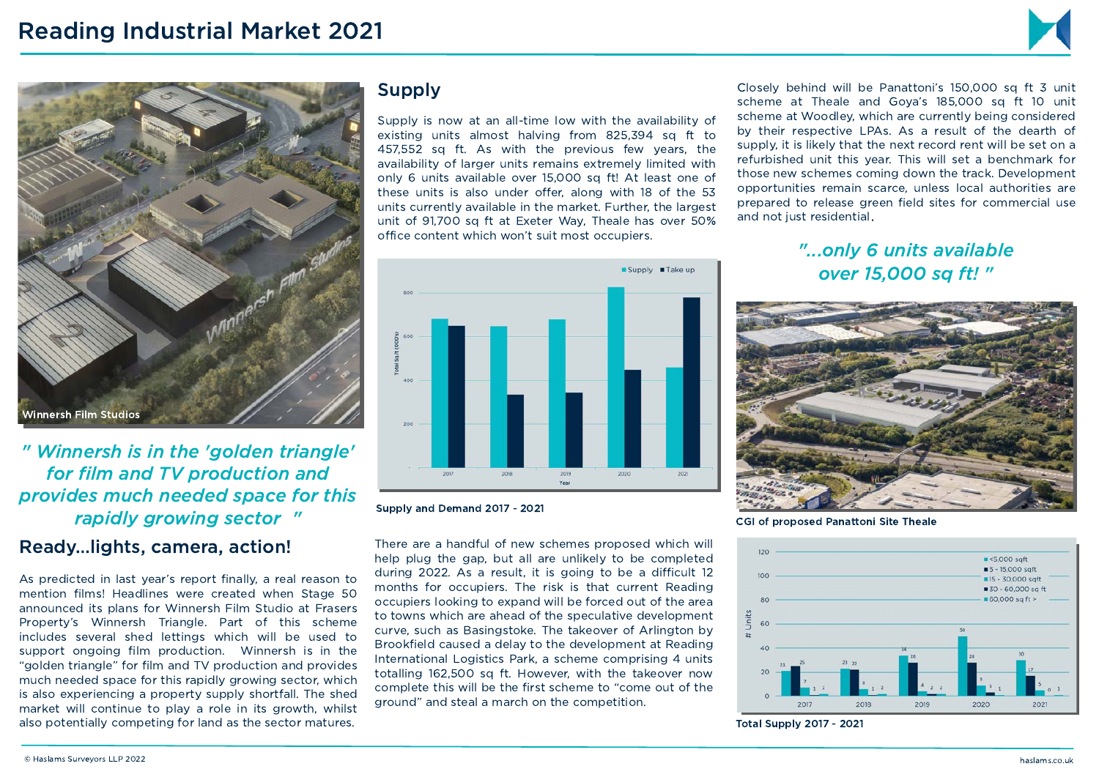



" Winnersh is in the 'golden triangle' for film and TV production and provides much needed space for this rapidly growing sector "

#### Ready... lights, camera, action!

As predicted in last year's report finally, a real reason to mention films! Headlines were created when Stage 50 announced its plans for Winnersh Film Studio at Frasers Property's Winnersh Triangle. Part of this scheme includes several shed lettings which will be used to support ongoing film production. Winnersh is in the "golden triangle" for film and TV production and provides much needed space for this rapidly growing sector, which is also experiencing a property supply shortfall. The shed market will continue to play a role in its growth, whilst also potentially competing for land as the sector matures.

### **Supply**

Supply is now at an all-time low with the availability of existing units almost halving from 825,394 sq ft to 457,552 sq ft. As with the previous few years, the availability of larger units remains extremely limited with only 6 units available over 15,000 sq ft! At least one of these units is also under offer, along with 18 of the 53 units currently available in the market. Further, the largest unit of 91.700 sq ft at Exeter Way. Theale has over 50% office content which won't suit most occupiers.



Supply and Demand 2017 - 2021

There are a handful of new schemes proposed which will help plug the gap, but all are unlikely to be completed during 2022. As a result, it is going to be a difficult 12 months for occupiers. The risk is that current Reading occupiers looking to expand will be forced out of the area to towns which are ahead of the speculative development curve, such as Basingstoke. The takeover of Arlington by Brookfield caused a delay to the development at Reading International Logistics Park, a scheme comprising 4 units totalling 162,500 sq ft. However, with the takeover now complete this will be the first scheme to "come out of the ground" and steal a march on the competition.

Closely behind will be Panattoni's 150,000 sq ft 3 unit scheme at Theale and Gova's 185,000 sq ft 10 unit scheme at Woodley, which are currently being considered by their respective LPAs. As a result of the dearth of supply, it is likely that the next record rent will be set on a refurbished unit this year. This will set a benchmark for those new schemes coming down the track. Development opportunities remain scarce, unless local authorities are prepared to release green field sites for commercial use and not just residential.

## "...only 6 units available over 15,000 sa ft! "



**CGI of proposed Panattoni Site Theale** 



**Total Supply 2017 - 2021**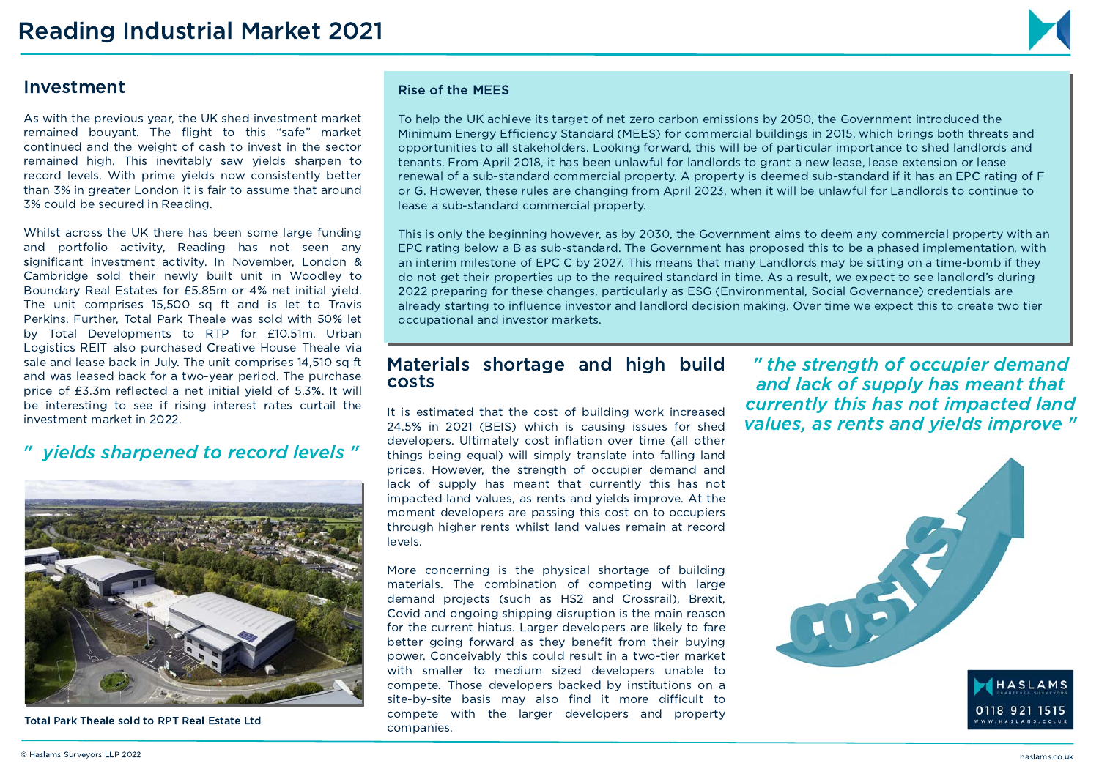#### Investment

As with the previous year, the UK shed investment market remained bouvant. The flight to this "safe" market continued and the weight of cash to invest in the sector remained high. This inevitably saw yields sharpen to record levels. With prime yields now consistently better than 3% in greater London it is fair to assume that around 3% could be secured in Reading.

Whilst across the UK there has been some large funding and portfolio activity. Reading has not seen any significant investment activity. In November, London & Cambridge sold their newly built unit in Woodley to Boundary Real Estates for £5.85m or 4% net initial yield. The unit comprises 15,500 sq ft and is let to Travis Perkins. Further. Total Park Theale was sold with 50% let by Total Developments to RTP for £10.51m. Urban Logistics REIT also purchased Creative House Theale via sale and lease back in July. The unit comprises 14.510 sq ft and was leased back for a two-year period. The purchase price of £3.3m reflected a net initial vield of 5.3%. It will be interesting to see if rising interest rates curtail the investment market in 2022.

#### " vields sharpened to record levels"



Total Park Theale sold to RPT Real Estate Ltd

#### **Rise of the MEES**

To help the UK achieve its target of net zero carbon emissions by 2050, the Government introduced the Minimum Energy Efficiency Standard (MEES) for commercial buildings in 2015, which brings both threats and opportunities to all stakeholders. Looking forward, this will be of particular importance to shed landlords and tenants. From April 2018, it has been unlawful for landlords to grant a new lease, lease extension or lease renewal of a sub-standard commercial property. A property is deemed sub-standard if it has an EPC rating of F or G. However, these rules are changing from April 2023, when it will be unlawful for Landlords to continue to lease a sub-standard commercial property.

This is only the beginning however, as by 2030, the Government aims to deem any commercial property with an EPC rating below a B as sub-standard. The Government has proposed this to be a phased implementation, with an interim milestone of EPC C by 2027. This means that many Landlords may be sitting on a time-bomb if they do not get their properties up to the required standard in time. As a result, we expect to see landlord's during 2022 preparing for these changes, particularly as ESG (Environmental, Social Governance) credentials are already starting to influence investor and landlord decision making. Over time we expect this to create two tier occupational and investor markets.

#### Materials shortage and high build costs

It is estimated that the cost of building work increased 24.5% in 2021 (BEIS) which is causing issues for shed developers. Ultimately cost inflation over time (all other things being equal) will simply translate into falling land prices. However, the strength of occupier demand and lack of supply has meant that currently this has not impacted land values, as rents and vields improve. At the moment developers are passing this cost on to occupiers through higher rents whilst land values remain at record levels.

More concerning is the physical shortage of building materials. The combination of competing with large demand projects (such as HS2 and Crossrail), Brexit, Covid and ongoing shipping disruption is the main reason for the current hiatus. Larger developers are likely to fare better going forward as they benefit from their buying power. Conceivably this could result in a two-tier market with smaller to medium sized developers unable to compete. Those developers backed by institutions on a site-by-site basis may also find it more difficult to compete with the larger developers and property companies.

" the strength of occupier demand and lack of supply has meant that currently this has not impacted land values, as rents and vields improve "